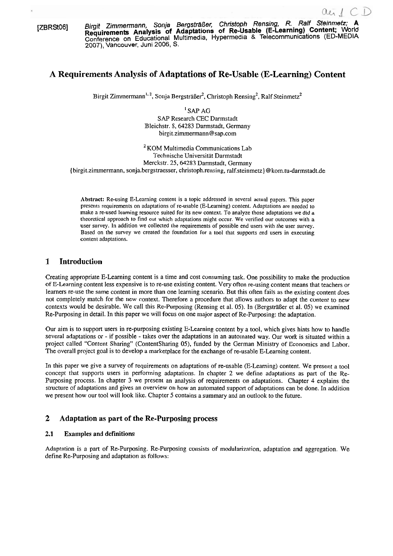**[ZBRStO6]** Birgit **Zimmermann, Sonja BergstrZißer. Chnstoph Rensing, R. Ralf Steinmetz; A Requirements Analys/s of Adaptations of Re-Usable (E-Learning) Content;** World Conference on Educational Multimedia, Hypermedia & Telecommunications (ED-MEDIA **2007),** Vancouver, Juni 2006, S.

# **A Requirements Analysis of Adaptations of Re-Usable (E-Learning) Content**

Birgit Zimmermann<sup>1, 2</sup>, Sonja Bergsträßer<sup>2</sup>, Christoph Rensing<sup>2</sup>, Ralf Steinmetz<sup>2</sup>

' SAP AG SAP Research CEC Darmstadt Bleichstr. 8,64283 Darmstadt, Germany birgit.zimmermann@sap.com

 $2$ KOM Multimedia Communications Lab Technische Universität Darmstadt Merckstr. 25,64283 Darmstadt, Germany {birgit.zimrnermann, sonja.bergstraesser, christoph.rensing, ralf.steinmetz) @kom.tu-darmstadt.de

Abstract: Re-using E-Learning content is a topic addressed in several actual papers. This paper presents requirements on adaptations of re-usable (E-Leaming) content. Adaptations are needed to make a re-used learning resource suited for its new context. To analyze those adaptations we did a theoretical approach to find out which adaptations rnight occur. We verified our outcomes with a user survey. In addition we collected the requirements of possible end users with the user survey. Based on the survey we created the foundation for a tool that supports end users in executing content adaptations.

# **1 Introduction**

Creating appropriate E-Learning content is a time and cost consuming task. One possibility to make the production of E-Learning content less expensive is to re-use existing content. Very often re-using content means that teachers or learners re-use the same content in more than one learning scenario. But this often fails as the existing content does not completely match for the new context. Therefore a procedure that allows authors to adapt the content to new contexts would be desirable. We call this Re-Purposing (Rensing et al. 05). In (Bergsträßer et al. 05) we examined Re-Purposing in detail. In this paper we will focus on one major aspect of Re-Purposing: the adaptation.

Our aim is to support users in re-purposing existing E-Learning content by a tool, which gives hints how to handle several adaptations or - if possible - takes over the adaptations in an automated way. Our work is situated within a project called "Content Sharing" (ContentSharing 05), funded by the German Ministry of Economics and Labor. The overall project goal is to develop a marketplace for the exchange of re-usable E-Learning content.

In this paper we give a survey of requirements on adaptations of re-usable (E-Learning) content. We present a tool concept that supports users in performing adaptations. In chapter 2 we define adaptations as part of the Re-Purposing process. In chapter **3** we present an analysis of requirements on adaptations. Chapter 4 explains the structure of adaptations and gives an overview on how an automated support of adaptations can be done. In addition we present how our tool will look like. Chapter 5 contains a summary and an outlook to the future.

# **2 Adaptation as part of the Re-Purposing process**

### **2.1 Examples and definitions**

Adaptation is a part of Re-Purposing. Re-Purposing consists of modularization, adaptation and aggregation. We define Re-Purposing and adaptation as follows: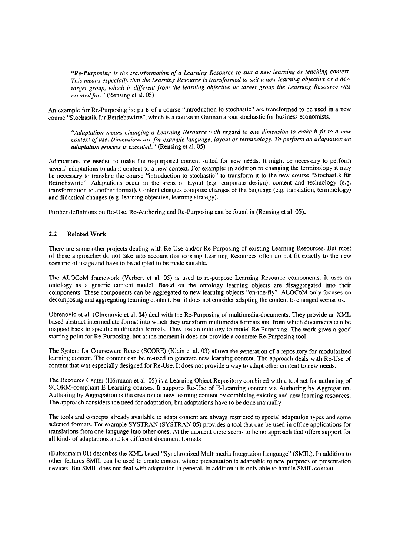*"Re-Purposing is the transformation of a Learning Resource to suit a new learning or teaching context. This means especially that the Learning Resource is transformed to suit a new learning objective or a new* target group, which is different from the learning objective or target group the Learning Resource was *created for.* " (Rensing et al. 05)

An example for Re-Purposing is: parts of a course "introduction to stochastic" are transformed to be used in a new course "Stochastik für Betriebswirte", which is a course in German about stochastic for business economists.

*"Adaptation means changing a Learning Resource with regard to one dimension to make it fit to a new context of use. Dimensions are for example language, layout or terminology. To perform an adaptation an adaptaiion process is executed.* " (Rensing et al. 05)

Adaptations are needed to make the re-purposed content suited for new needs. It might be necessary to perfonn several adaptations to adapt content to a new context. For example: in addition to changing the terminology it may be necessary to translate the course "introduction to stochastic" to transform it to the new course "Stochastik für Betriebswirte". Adaptations occur in the areas of layout (e.g. corporate design), content and technology (e.g. transformation to another format). Content changes comprise changes of the language (e.g. translation, terminology) and didactical changes (e.g. learning objective, learning strategy).

Further definitions on Re-Use, Re-Authoring and Re-Purposing can be found in (Rensing et al. 05).

## **2.2** Related **Work**

There are some other projects dealing with Re-Use and/or Re-Purposing of existing Learning Resources. But most of these approaches do not take into account that existing Learning Resources often do not fit exactly to the new scenario of usage and have to be adapted to be made suitable.

The ALOCoM framework (Verbert et al. 05) is used to re-purpose Learning Resource components. It uses an ontology as a generic content model. Based on the ontology learning objects are disaggregated into their components. These components can be aggregated to new learning objects "on-the-fly". ALOCoM only focuses on decomposing and aggregating learning content. But it does not consider adapting the content to changed scenarios.

Obrenovic et al. (Obrenovic et al. 04) deal with the Re-Purposing of multimedia-documents. They provide an XML based abstract intermediate format into which they transform multimedia formats and from which documents can be mapped back to specific multimedia formats. They use an ontology to model Re-Purposing. The work gives a good starting point for Re-Purposing, but at the moment it does not provide a concrete Re-Purposing tool.

The System for Courseware Reuse (SCORE) (Klein et al. 03) allows the generation of a repository for modularized learning content. The content can be re-used to generate new learning content. The approach deals with Re-Use of content that was especially designed for Re-Use. It does not provide a way to adapt other content to new needs.

The Resource Center (Hörmann et al. 05) is a Learning Object Repository combined with a tool set for authoring of SCORM-compliant E-Learning courses. It supports Re-Use of E-Learning content via Authoring by Aggregation. Authoring by Aggregation is the creation of new learning content by combining existing and new learning resources. The approach considers the need for adaptation, but adaptations have to be done manually.

The tools and concepts already available to adapt content are always restricted to special adaptation types and some selected formats. For example SYSTRAN (SYSTRAN 05) provides a tool that can be used in office applications for translations from one language into other ones. At the moment there seems to be no approach that offers support for all kinds of adaptations and for different document formats.

(Bultermann 01) describes the XML based "Synchronized Multimedia Integration Language" (SMIL). In addition to other features SMIL can be used to create content whose presentation is adaptable to new purposes or presentation devices. But SMIL does not deal with adaptation in general. In addition it is only able to handle SMIL content.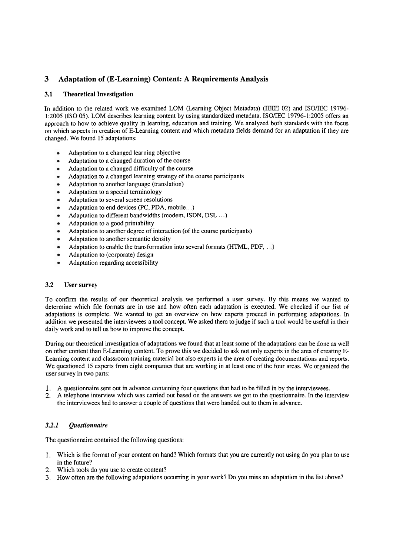# **3 Adaptation of (E-Learning) Content: A Requirements Analysis**

## **3.1 Theoretical Investigation**

In addition to the related work we examined LOM (Learning Object Metadata) (IEEE 02) and ISO/IEC 19796-1:2005 (ISO 05). LOM describes learning content by using standardized metadata. ISO/IEC 19796-1:2005 offers an approach to how to achieve quality in learning, education and training. We analyzed both standards with the focus on which aspects in creation of E-Learning content and which metadata fields demand for an adaptation if they are changed. We found 15 adaptations:

- Adaptation to a changed learning objective
- Adaptation to a changed duration of the course
- Adaptation to a changed difficulty of the course
- Adaptation to a changed learning strategy of the course participants
- Adaptation to another language (translation)
- Adaptation to a special terminology  $\bullet$
- $\bullet$ Adaptation to several screen resolutions
- Adaptation to end devices (PC, PDA, mobile.. .)
- Adaptation to different bandwidths (modem, ISDN, DSL ...)
- $\bullet$ Adaptation to a good printability
- $\bullet$ Adaptation to another degree of interaction (of the course participants)
- $\bullet$ Adaptation to another semantic density
- Adaptation to enable the transformation into several formats (HTML, PDF, ...)
- $\bullet$ Adaptation to (corporate) design
- $\bullet$ Adaptation regarding accessibility

### **3.2 User survey**

To confirm the results of our theoretical analysis we performed a User survey. By this means we wanted to determine which file formats are in use and how often each adaptation is executed. We checked if our list of adaptations is complete. We wanted to get an overview on how experts proceed in performing adaptations. In addition we presented the interviewees a tool concept. We asked them to judge if such a tool would be useful in their daily work and to tell us how to improve the concept.

During our theoretical investigation of adaptations we found that at least some of the adaptations can be done as well on other content than E-Learning content. To prove this we decided to ask not only experts in the area of creating E-Learning content and classroom training material but also experts in the area of creating documentations and reports. We questioned 15 experts from eight companies that are working in at least one of the four areas. We organized the user survey in two parts:

- 1. A questionnaire sent out in advance containing four questions that had to be filled in by the interviewees.
- 2. A telephone interview which was carried out based on the answers we got to the questionnaire. In the interview the interviewees had to answer a couple of questions that were handed out to them in advance.

# **3.2.1** *Questionnaire*

The questionnaire contained the following questions:

- 1. Which is the format of your content on hand? Which formats that you are currently not using do you plan to use in the future?
- 2. Which tools do you use to create content?
- **3.** How often are the following adaptations occurring in your work? Do you miss an adaptation in the list above?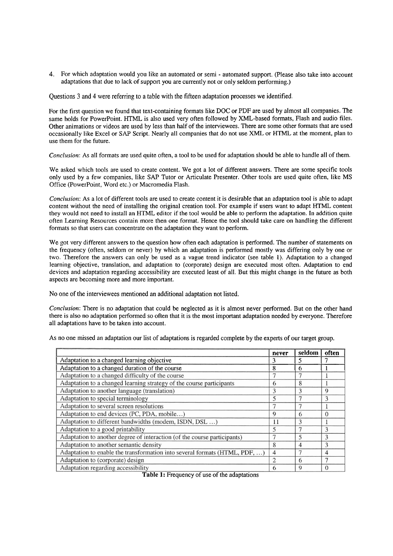**4.** For which adaptation would you like an automated or semi - automated support. (Please also take into account adaptations that due to lack of support you are currently not or only seldom performing.)

Questions 3 and 4 were referring to a table with the fifteen adaptation processes we identified.

For the first question we found that text-containing formats like DOC or PDF are used by almost all companies. The same holds for PowerPoint. HTML is also used very often followed by XML-based formats, Flash and audio files. Other animations or videos are used by less than half of the interviewees. There are some other formats that are used occasionally like Excel or SAP Script. Nearly all companies that do not use XML or HTML at the moment, plan to use them for the future.

*Conclusion*: As all formats are used quite often, a tool to be used for adaptation should be able to handle all of them.

We asked which tools are used to create content. We got a lot of different answers. There are some specific tools only used by a few companies, like SAP Tutor or Articulate Presenter. Other tools are used quite often, like MS Office (PowerPoint, Word etc.) or Macromedia Flash.

*Conclusion:* As a lot of different tools are used to create content it is desirable that an adaptation tool is able to adapt content without the need of installing the original creation tool. For example if users Want to adapt HTML content they would not need to install an HTML editor if the tool would be able to perform the adaptation. In addition quite often Learning Resources contain more then one format. Hence the tool should take care on handling the different formats so that users can concentrate on the adaptation they Want to perform.

We got very different answers to the question how often each adaptation is performed. The number of statements on the frequency (often, seldom or never) by which an adaptation is performed mostly was differing only by one or two. Therefore the answers can only be used as a vague trend indicator (see table **1).** Adaptation to a changed learning objective, translation, and adaptation to (corporate) design are executed most often. Adaptation to end devices and adaptation regarding accessibility are executed least of all. But this might change in the future as both aspects are becoming more and more important.

No one of the interviewees mentioned an additional adaptation not listed.

*Conclusion:* There is no adaptation that could be neglected as it is almost never performed. But on the other hand there is also no adaptation performed so often that it is the most important adaptation needed by everyone. Therefore all adaptations have to be taken into account.

As no one missed an adaptation our list of adaptations is regarded complete by the experts of our target group.

|                                                                            | never          | seldom | often       |
|----------------------------------------------------------------------------|----------------|--------|-------------|
| Adaptation to a changed learning objective                                 | 3              | 5      |             |
| Adaptation to a changed duration of the course                             | 8              | 6      |             |
| Adaptation to a changed difficulty of the course                           | 7              |        |             |
| Adaptation to a changed learning strategy of the course participants       | 6              | 8      |             |
| Adaptation to another language (translation)                               | 3              | 3      | $\mathbf Q$ |
| Adaptation to special terminology                                          | 5              |        | 3           |
| Adaptation to several screen resolutions                                   | $\tau$         |        |             |
| Adaptation to end devices (PC, PDA, mobile)                                | 9              | 6      | $\theta$    |
| Adaptation to different bandwidths (modem, ISDN, DSL )                     | 11             | 3      |             |
| Adaptation to a good printability                                          | 5              | 7      | 3           |
| Adaptation to another degree of interaction (of the course participants)   |                | 5      | 3           |
| Adaptation to another semantic density                                     | 8              | 4      | 3           |
| Adaptation to enable the transformation into several formats (HTML, PDF, ) | 4              |        | 4           |
| Adaptation to (corporate) design                                           | $\overline{2}$ | 6      |             |
| Adaptation regarding accessibility                                         | 6              | 9      | $\Omega$    |

**Table 1:** Frequency of use of the adaptations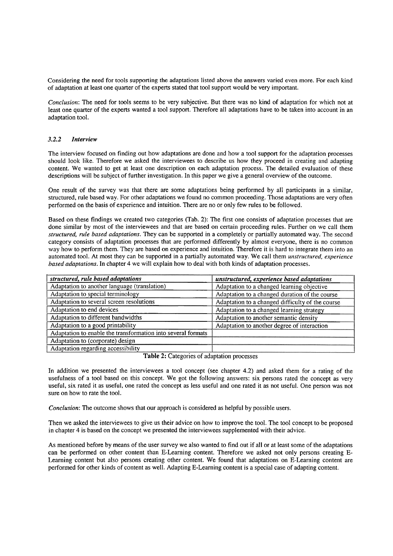Considering the need for tools supporting the adaptations listed above the answers varied even more. For each kind of adaptation at least one quarter of the experts stated that tool support would be very important.

*Conclusion:* The need for tools seems to be very subjective. But there was no kind of adaptation for which not at least one quarter of the experts wanted a tool support. Therefore all adaptations have to be taken into account in an adaptation tool.

#### *3.2.2 Interview*

The interview focused on finding out how adaptations are done and how a tool support for the adaptation processes should look like. Therefore we asked the interviewees to describe us how they proceed in creating and adapting content. We wanted to get at least one description on each adaptation process. The detailed evaluation of these descriptions will be subject of further investigation. In this paper we give a general overview of the outcome.

One result of the survey was that there are some adaptations being performed by all participants in a similar, structured, rule based way. For other adaptations we found no common proceeding. Those adaptations are very often performed on the basis of experience and intuition. There are no or only few rules to be followed.

Based on these findings we created two categories (Tab. 2): The first one consists of adaptation processes that are done similar by most of the interviewees and that are based on certain proceeding rules. Further on we call them *structured, rule based adaptations.* They can be supported in a completely or partially automated way. The second category consists of adaptation processes that are performed differently by almost everyone, there is no common way how to perform them. They are based on experience and intuition. Therefore it is hard to integrate them into an automated tool. At most they can be supported in a partially automated way. We call them *unstructured, experience based adaptations*. In chapter 4 we will explain how to deal with both kinds of adaptation processes.

| structured, rule based adaptations                           | unstructured, experience based adaptations       |
|--------------------------------------------------------------|--------------------------------------------------|
| Adaptation to another language (translation)                 | Adaptation to a changed learning objective       |
| Adaptation to special terminology                            | Adaptation to a changed duration of the course   |
| Adaptation to several screen resolutions                     | Adaptation to a changed difficulty of the course |
| Adaptation to end devices                                    | Adaptation to a changed learning strategy        |
| Adaptation to different bandwidths                           | Adaptation to another semantic density           |
| Adaptation to a good printability                            | Adaptation to another degree of interaction      |
| Adaptation to enable the transformation into several formats |                                                  |
| Adaptation to (corporate) design                             |                                                  |
| Adaptation regarding accessibility                           |                                                  |

Table 2: Categories of adaptation processes

In addition we presented the interviewees a tool concept (see chapter 4.2) and asked them for a rating of the usefulness of a tool based on this concept. We got the following answers: six persons rated the concept as very useful, six rated it as useful, one rated the concept as less useful and one rated it as not useful. One person was not sure on how to rate the tool.

*Conclusion:* The outcome shows that our approach is considered as helpful by possible users.

Then we asked the interviewees to give us their advice on how to improve the tool. The tool concept to be proposed in chapter 4 is based on the concept we presented the interviewees supplemented with their advice.

As mentioned before by means of the user survey we also wanted to find out if all or at least some of the adaptations can be performed on other content than E-Learning content. Therefore we asked not only persons creating E-Learning content but also persons creating other content. We found that adaptations on E-Learning content are performed for other kinds of content as well. Adapting E-Learning content is a special case of adapting content.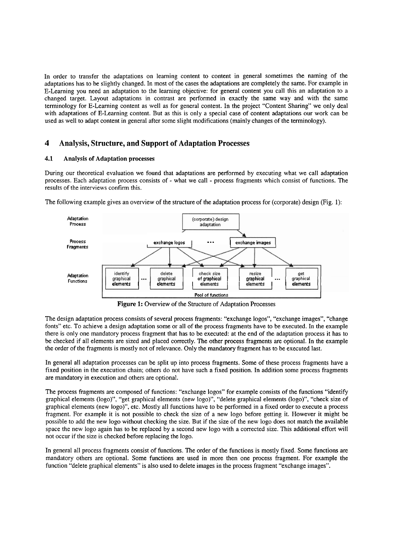In order to transfer the adaptations on learning content to content in general sometimes the naming of the adaptations has to be slightly clianged. In most of the cases the adaptations are completely the same. For example in E-Learning you need an adaptation to the learning objective: for general content you call this an adaptation to a changed target. Layout adaptations in contrast are performed in exactly the same way and with the same terminology for E-Learning content as well as for general content. In the project "Content Sharing" we only deal with adaptations of E-Learning content. But as this is only a special case of content adaptations our work can be used as well to adapt content in general after some slight modifications (mainly changes of the terminology).

# **4 Analysis, Structure, and Support of Adaptation Processes**

### **4.1 Analysis of Adaptation processes**

During our theoretical evaluation we found that adaptations are performed by executing what we call adaptation processes. Each adaptation process consists of - what we call - process fragments which consist of functions. The results of the interviews confirm this.



The following example gives an overview of the structure of the adaptation process for (corporate) design (Fig. 1):

Figure 1: Overview of the Structure of Adaptation Processes

The design adaptation process consists of several process Fragments: "exchange logos", "exchange images", "change fonts" etc. To achieve a design adaptation some or all of the process fragments have to be executed. In the example there is only one mandatory process fragment that has to be executed: at the end of the adaptation process it has to be checked if all elements are sized and placed correctly. The other process fragments are optional. In the example the order of the fragments is mostly not of relevance. Only the mandatory fragment has to be executed last.

In general all adaptation processes can be split up into process fragments. Some of these process fragments have a fixed position in the execution chain; others do not have such a fixed position. In addition some process fragments are mandatory in execution and others are optional.

The process fragments are composed of functions: "exchange logos" for example consists of the functions "identify graphical elements (logo)", "get graphical elements (new logo)", "delete graphical elements (logo)", "check size of graphical elements (new logo)", etc. Mostly all functions have to be performed in a fixed order to execute a process fragment. For example it is not possible to check the size of a new logo before getting it. However it might be possible to add the new logo without checking the size. But if the size of the new logo does not match the available space the new logo again has to be replaced by a second new logo with a corrected size. This additional effort will not occur if the size is checked before replacing the logo.

In general all process fragments consist of functions. The order of the functions is mostly fixed. Some functions are mandatory others are optional. Some functions are used in more then one process fragment. For example the function "delete graphical elements" is also used to delete images in the process fragment "exchange images".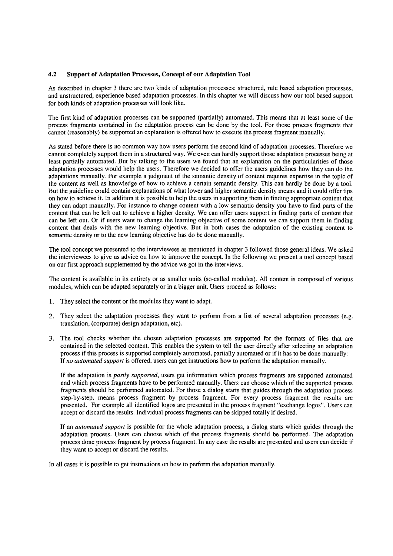### **4.2** Support of Adaptation Processes, Concept of our Adaptation Tool

As descnbed in chapter **3** there are two kinds of adaptation processes: structured, mle based adaptation processes, and unstructured, experience based adaptation processes. In this chapter we will discuss how our tool based support for both kinds of adaptation processes will look like.

The first kind of adaptation processes can be supported (partially) automated. This means that at least some of the process fragments contained in the adaptation process can be done by the tool. For those process fragments that cannot (reasonably) be supported an explanation is offered how to execute the process fragment manually.

As stated before there is no common way how users perform the second kind of adaptation processes. Therefore we cannot completely support them in a structured way. We even can hardly support those adaptation processes being at least partially automated. But by talking to the users we found that an explanation on the particularities of those adaptation processes would help the users. Therefore we decided to offer the users guidelines how they can do the adaptations manually. For example a judgment of the semantic density of content requires expertise in the topic of the content as well as knowledge of how to achieve a certain semantic density. This can hardly be done by a tool. But the guideline could contain explanations of what lower and higher semantic density means and it could offer tips on how to achieve it. In addition it is possible to help the users in supporting them in finding appropriate content that they can adapt manually. For instance to change content with a low semantic density you have to find parts of the content that can be left out to achieve a higher density. We can offer users support in finding parts of content that can be left out. Or if users Want to change the learning objective of some content we can support them in finding content that deals with the new learning objective. But in both cases the adaptation of the existing content to semantic density or to the new leaming objective has do be done manually.

The tool concept we presented to the interviewees as mentioned in chapter **3** followed those general ideas. We asked the interviewees to give us advice on how to improve the concept. In the following we present a tool concept based on our first approach supplemented by the advice we got in the interviews.

The content is available in its entirety or as smaller units (so-called modules). All content is composed of various modules, which can be adapted separately or in a bigger unit. Users proceed as follows:

- **1.** They select the content or the modules they Want to adapt.
- **2.** They select the adaptation processes they Want to perforrn from a list of several adaptation processes (e.g. translation, (corporate) design adaptation, etc).
- 3. The tool checks whether the chosen adaptation processes are supported for the formats of files that are contained in the selected content. This enables the system to tell the user directly after selecting an adaptation process if this process is supported completely automated, partially automated or if it has to be done manually: If *no autorlzated support* is offered, users can get instructions how to perform the adaptation manually.

If the adaptation is *partly supported,* users get information which process fragments are supported automated and which process fragments have to be performed manually. Users can choose which of the supported process fragments should be performed automated. For those a dialog starts that guides through the adaptation process step-by-step, means process fragment by process fragment. For every process fragment the results are presented. For example all identified logos are presented in the process fragment "exchange logos". Users can accept or discard the results. Individual process fragments can be skipped totally if desired.

If an *autonzated support* is possible for the whole adaptation process, a dialog starts which guides through the adaptation process. Users can choose which of the process fragments should be performed. The adaptation process done process fragment by process fragment. In any case the results are presented and users can decide if they Want to accept or discard the results.

In all cases it is possible to get instructions on how to perform the adaptation manually.